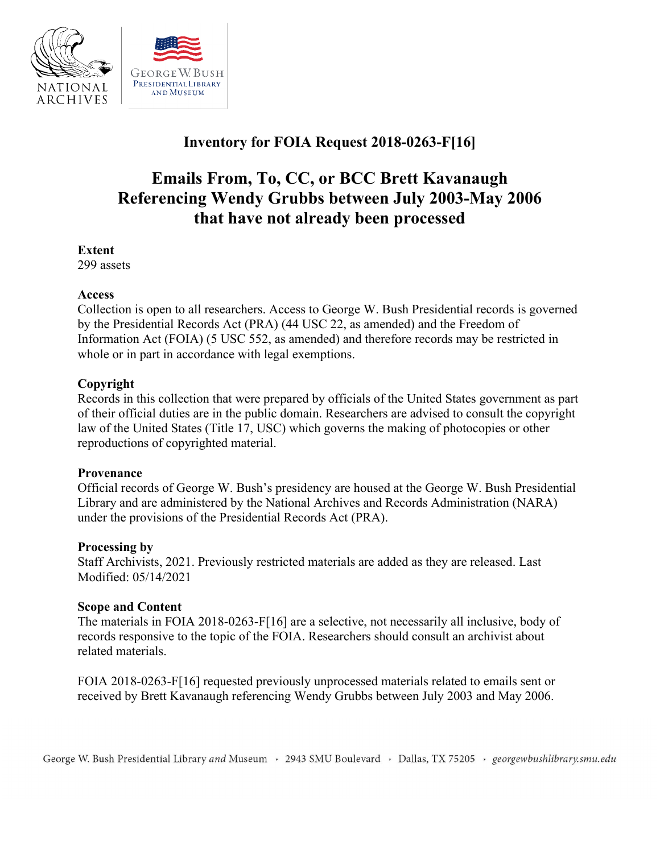

# **Inventory for FOIA Request 2018-0263-F[16]**

# **Emails From, To, CC, or BCC Brett Kavanaugh Referencing Wendy Grubbs between July 2003-May 2006 that have not already been processed**

#### **Extent**

299 assets

#### **Access**

Collection is open to all researchers. Access to George W. Bush Presidential records is governed by the Presidential Records Act (PRA) (44 USC 22, as amended) and the Freedom of Information Act (FOIA) (5 USC 552, as amended) and therefore records may be restricted in whole or in part in accordance with legal exemptions.

## **Copyright**

Records in this collection that were prepared by officials of the United States government as part of their official duties are in the public domain. Researchers are advised to consult the copyright law of the United States (Title 17, USC) which governs the making of photocopies or other reproductions of copyrighted material.

#### **Provenance**

 Official records of George W. Bush's presidency are housed at the George W. Bush Presidential Library and are administered by the National Archives and Records Administration (NARA) under the provisions of the Presidential Records Act (PRA).

#### **Processing by**

Staff Archivists, 2021. Previously restricted materials are added as they are released. Last Modified: 05/14/2021

## **Scope and Content**

 The materials in FOIA 2018-0263-F[16] are a selective, not necessarily all inclusive, body of records responsive to the topic of the FOIA. Researchers should consult an archivist about related materials.

 FOIA 2018-0263-F[16] requested previously unprocessed materials related to emails sent or received by Brett Kavanaugh referencing Wendy Grubbs between July 2003 and May 2006.

George W. Bush Presidential Library *and* Museum , 2943 SMU Boulevard , Dallas, TX 75205 , *georgewbushlibrary.smu.edu*